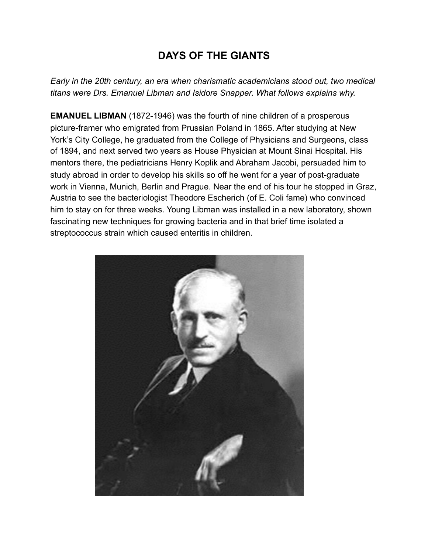## **DAYS OF THE GIANTS**

*Early in the 20th century, an era when charismatic academicians stood out, two medical titans were Drs. Emanuel Libman and Isidore Snapper. What follows explains why.* 

**EMANUEL LIBMAN** (1872-1946) was the fourth of nine children of a prosperous picture-framer who emigrated from Prussian Poland in 1865. After studying at New York's City College, he graduated from the College of Physicians and Surgeons, class of 1894, and next served two years as House Physician at Mount Sinai Hospital. His mentors there, the pediatricians Henry Koplik and Abraham Jacobi, persuaded him to study abroad in order to develop his skills so off he went for a year of post-graduate work in Vienna, Munich, Berlin and Prague. Near the end of his tour he stopped in Graz, Austria to see the bacteriologist Theodore Escherich (of E. Coli fame) who convinced him to stay on for three weeks. Young Libman was installed in a new laboratory, shown fascinating new techniques for growing bacteria and in that brief time isolated a streptococcus strain which caused enteritis in children.

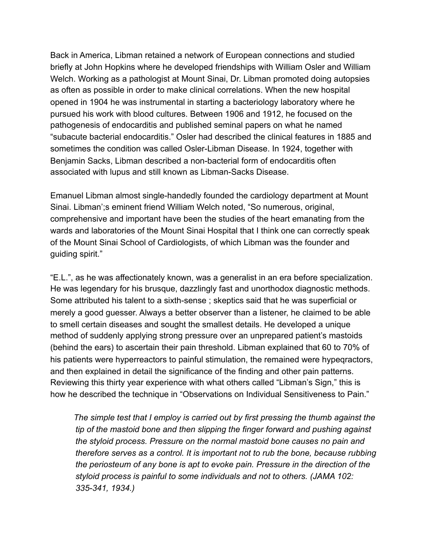Back in America, Libman retained a network of European connections and studied briefly at John Hopkins where he developed friendships with William Osler and William Welch. Working as a pathologist at Mount Sinai, Dr. Libman promoted doing autopsies as often as possible in order to make clinical correlations. When the new hospital opened in 1904 he was instrumental in starting a bacteriology laboratory where he pursued his work with blood cultures. Between 1906 and 1912, he focused on the pathogenesis of endocarditis and published seminal papers on what he named "subacute bacterial endocarditis." Osler had described the clinical features in 1885 and sometimes the condition was called Osler-Libman Disease. In 1924, together with Benjamin Sacks, Libman described a non-bacterial form of endocarditis often associated with lupus and still known as Libman-Sacks Disease.

Emanuel Libman almost single-handedly founded the cardiology department at Mount Sinai. Libman';s eminent friend William Welch noted, "So numerous, original, comprehensive and important have been the studies of the heart emanating from the wards and laboratories of the Mount Sinai Hospital that I think one can correctly speak of the Mount Sinai School of Cardiologists, of which Libman was the founder and guiding spirit."

"E.L.", as he was affectionately known, was a generalist in an era before specialization. He was legendary for his brusque, dazzlingly fast and unorthodox diagnostic methods. Some attributed his talent to a sixth-sense ; skeptics said that he was superficial or merely a good guesser. Always a better observer than a listener, he claimed to be able to smell certain diseases and sought the smallest details. He developed a unique method of suddenly applying strong pressure over an unprepared patient's mastoids (behind the ears) to ascertain their pain threshold. Libman explained that 60 to 70% of his patients were hyperreactors to painful stimulation, the remained were hypeqractors, and then explained in detail the significance of the finding and other pain patterns. Reviewing this thirty year experience with what others called "Libman's Sign," this is how he described the technique in "Observations on Individual Sensitiveness to Pain."

 *The simple test that I employ is carried out by first pressing the thumb against the tip of the mastoid bone and then slipping the finger forward and pushing against the styloid process. Pressure on the normal mastoid bone causes no pain and therefore serves as a control. It is important not to rub the bone, because rubbing the periosteum of any bone is apt to evoke pain. Pressure in the direction of the styloid process is painful to some individuals and not to others. (JAMA 102: 335-341, 1934.)*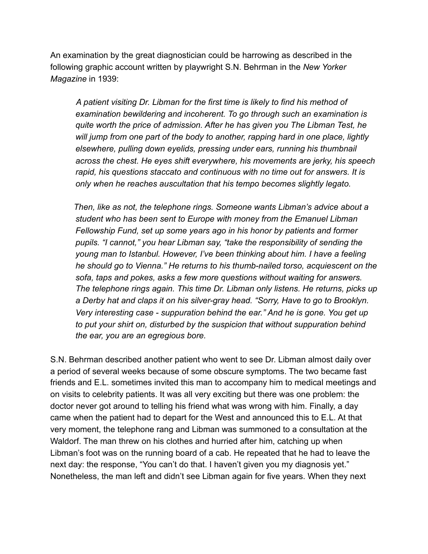An examination by the great diagnostician could be harrowing as described in the following graphic account written by playwright S.N. Behrman in the *New Yorker Magazine* in 1939:

 *A patient visiting Dr. Libman for the first time is likely to find his method of examination bewildering and incoherent. To go through such an examination is quite worth the price of admission. After he has given you The Libman Test, he will jump from one part of the body to another, rapping hard in one place, lightly elsewhere, pulling down eyelids, pressing under ears, running his thumbnail across the chest. He eyes shift everywhere, his movements are jerky, his speech rapid, his questions staccato and continuous with no time out for answers. It is only when he reaches auscultation that his tempo becomes slightly legato.* 

 *Then, like as not, the telephone rings. Someone wants Libman's advice about a student who has been sent to Europe with money from the Emanuel Libman Fellowship Fund, set up some years ago in his honor by patients and former pupils. "I cannot," you hear Libman say, "take the responsibility of sending the young man to Istanbul. However, I've been thinking about him. I have a feeling he should go to Vienna." He returns to his thumb-nailed torso, acquiescent on the sofa, taps and pokes, asks a few more questions without waiting for answers. The telephone rings again. This time Dr. Libman only listens. He returns, picks up a Derby hat and claps it on his silver-gray head. "Sorry, Have to go to Brooklyn. Very interesting case - suppuration behind the ear." And he is gone. You get up to put your shirt on, disturbed by the suspicion that without suppuration behind the ear, you are an egregious bore.* 

S.N. Behrman described another patient who went to see Dr. Libman almost daily over a period of several weeks because of some obscure symptoms. The two became fast friends and E.L. sometimes invited this man to accompany him to medical meetings and on visits to celebrity patients. It was all very exciting but there was one problem: the doctor never got around to telling his friend what was wrong with him. Finally, a day came when the patient had to depart for the West and announced this to E.L. At that very moment, the telephone rang and Libman was summoned to a consultation at the Waldorf. The man threw on his clothes and hurried after him, catching up when Libman's foot was on the running board of a cab. He repeated that he had to leave the next day: the response, "You can't do that. I haven't given you my diagnosis yet." Nonetheless, the man left and didn't see Libman again for five years. When they next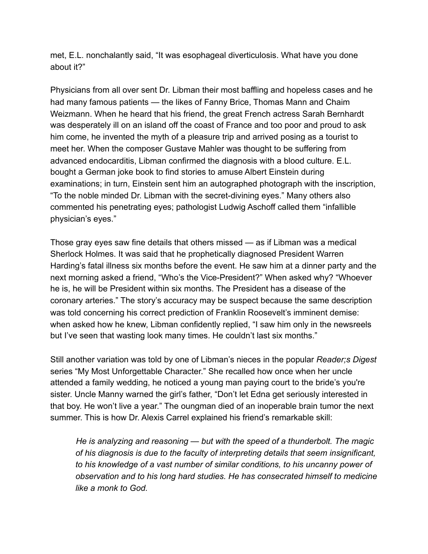met, E.L. nonchalantly said, "It was esophageal diverticulosis. What have you done about it?"

Physicians from all over sent Dr. Libman their most baffling and hopeless cases and he had many famous patients — the likes of Fanny Brice, Thomas Mann and Chaim Weizmann. When he heard that his friend, the great French actress Sarah Bernhardt was desperately ill on an island off the coast of France and too poor and proud to ask him come, he invented the myth of a pleasure trip and arrived posing as a tourist to meet her. When the composer Gustave Mahler was thought to be suffering from advanced endocarditis, Libman confirmed the diagnosis with a blood culture. E.L. bought a German joke book to find stories to amuse Albert Einstein during examinations; in turn, Einstein sent him an autographed photograph with the inscription, "To the noble minded Dr. Libman with the secret-divining eyes." Many others also commented his penetrating eyes; pathologist Ludwig Aschoff called them "infallible physician's eyes."

Those gray eyes saw fine details that others missed — as if Libman was a medical Sherlock Holmes. It was said that he prophetically diagnosed President Warren Harding's fatal illness six months before the event. He saw him at a dinner party and the next morning asked a friend, "Who's the Vice-President?" When asked why? "Whoever he is, he will be President within six months. The President has a disease of the coronary arteries." The story's accuracy may be suspect because the same description was told concerning his correct prediction of Franklin Roosevelt's imminent demise: when asked how he knew, Libman confidently replied, "I saw him only in the newsreels but I've seen that wasting look many times. He couldn't last six months."

Still another variation was told by one of Libman's nieces in the popular *Reader;s Digest* series "My Most Unforgettable Character." She recalled how once when her uncle attended a family wedding, he noticed a young man paying court to the bride's you're sister. Uncle Manny warned the girl's father, "Don't let Edna get seriously interested in that boy. He won't live a year." The oungman died of an inoperable brain tumor the next summer. This is how Dr. Alexis Carrel explained his friend's remarkable skill:

 *He is analyzing and reasoning — but with the speed of a thunderbolt. The magic of his diagnosis is due to the faculty of interpreting details that seem insignificant, to his knowledge of a vast number of similar conditions, to his uncanny power of observation and to his long hard studies. He has consecrated himself to medicine like a monk to God.*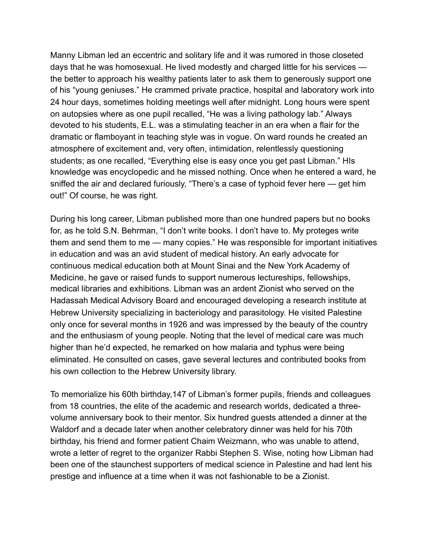Manny Libman led an eccentric and solitary life and it was rumored in those closeted days that he was homosexual. He lived modestly and charged little for his services the better to approach his wealthy patients later to ask them to generously support one of his "young geniuses." He crammed private practice, hospital and laboratory work into 24 hour days, sometimes holding meetings well after midnight. Long hours were spent on autopsies where as one pupil recalled, "He was a living pathology lab." Always devoted to his students, E.L. was a stimulating teacher in an era when a flair for the dramatic or flamboyant in teaching style was in vogue. On ward rounds he created an atmosphere of excitement and, very often, intimidation, relentlessly questioning students; as one recalled, "Everything else is easy once you get past Libman." HIs knowledge was encyclopedic and he missed nothing. Once when he entered a ward, he sniffed the air and declared furiously, "There's a case of typhoid fever here — get him out!" Of course, he was right.

During his long career, Libman published more than one hundred papers but no books for, as he told S.N. Behrman, "I don't write books. I don't have to. My proteges write them and send them to me — many copies." He was responsible for important initiatives in education and was an avid student of medical history. An early advocate for continuous medical education both at Mount Sinai and the New York Academy of Medicine, he gave or raised funds to support numerous lectureships, fellowships, medical libraries and exhibitions. Libman was an ardent Zionist who served on the Hadassah Medical Advisory Board and encouraged developing a research institute at Hebrew University specializing in bacteriology and parasitology. He visited Palestine only once for several months in 1926 and was impressed by the beauty of the country and the enthusiasm of young people. Noting that the level of medical care was much higher than he'd expected, he remarked on how malaria and typhus were being eliminated. He consulted on cases, gave several lectures and contributed books from his own collection to the Hebrew University library.

To memorialize his 60th birthday,147 of Libman's former pupils, friends and colleagues from 18 countries, the elite of the academic and research worlds, dedicated a threevolume anniversary book to their mentor. Six hundred guests attended a dinner at the Waldorf and a decade later when another celebratory dinner was held for his 70th birthday, his friend and former patient Chaim Weizmann, who was unable to attend, wrote a letter of regret to the organizer Rabbi Stephen S. Wise, noting how Libman had been one of the staunchest supporters of medical science in Palestine and had lent his prestige and influence at a time when it was not fashionable to be a Zionist.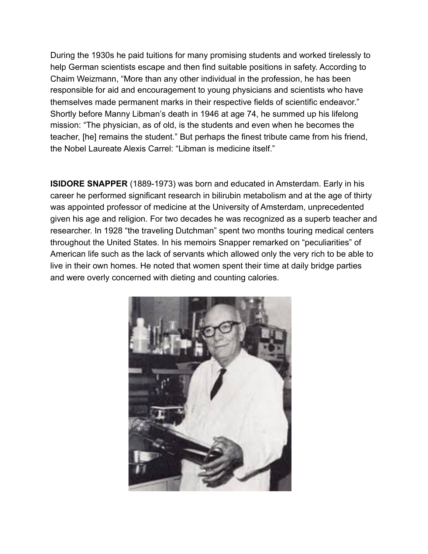During the 1930s he paid tuitions for many promising students and worked tirelessly to help German scientists escape and then find suitable positions in safety. According to Chaim Weizmann, "More than any other individual in the profession, he has been responsible for aid and encouragement to young physicians and scientists who have themselves made permanent marks in their respective fields of scientific endeavor." Shortly before Manny Libman's death in 1946 at age 74, he summed up his lifelong mission: "The physician, as of old, is the students and even when he becomes the teacher, [he] remains the student." But perhaps the finest tribute came from his friend, the Nobel Laureate Alexis Carrel: "Libman is medicine itself."

**ISIDORE SNAPPER** (1889-1973) was born and educated in Amsterdam. Early in his career he performed significant research in bilirubin metabolism and at the age of thirty was appointed professor of medicine at the University of Amsterdam, unprecedented given his age and religion. For two decades he was recognized as a superb teacher and researcher. In 1928 "the traveling Dutchman" spent two months touring medical centers throughout the United States. In his memoirs Snapper remarked on "peculiarities" of American life such as the lack of servants which allowed only the very rich to be able to live in their own homes. He noted that women spent their time at daily bridge parties and were overly concerned with dieting and counting calories.

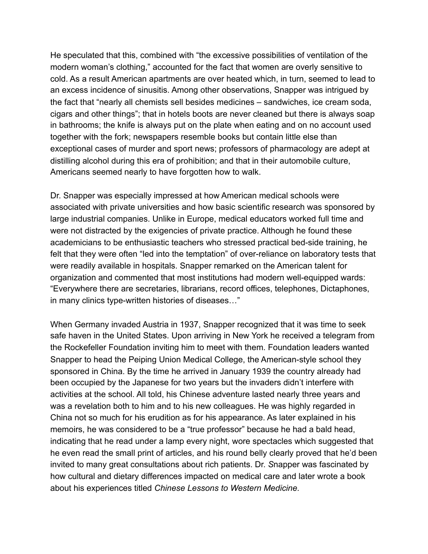He speculated that this, combined with "the excessive possibilities of ventilation of the modern woman's clothing," accounted for the fact that women are overly sensitive to cold. As a result American apartments are over heated which, in turn, seemed to lead to an excess incidence of sinusitis. Among other observations, Snapper was intrigued by the fact that "nearly all chemists sell besides medicines – sandwiches, ice cream soda, cigars and other things"; that in hotels boots are never cleaned but there is always soap in bathrooms; the knife is always put on the plate when eating and on no account used together with the fork; newspapers resemble books but contain little else than exceptional cases of murder and sport news; professors of pharmacology are adept at distilling alcohol during this era of prohibition; and that in their automobile culture, Americans seemed nearly to have forgotten how to walk.

Dr. Snapper was especially impressed at how American medical schools were associated with private universities and how basic scientific research was sponsored by large industrial companies. Unlike in Europe, medical educators worked full time and were not distracted by the exigencies of private practice. Although he found these academicians to be enthusiastic teachers who stressed practical bed-side training, he felt that they were often "led into the temptation" of over-reliance on laboratory tests that were readily available in hospitals. Snapper remarked on the American talent for organization and commented that most institutions had modern well-equipped wards: "Everywhere there are secretaries, librarians, record offices, telephones, Dictaphones, in many clinics type-written histories of diseases…"

When Germany invaded Austria in 1937, Snapper recognized that it was time to seek safe haven in the United States. Upon arriving in New York he received a telegram from the Rockefeller Foundation inviting him to meet with them. Foundation leaders wanted Snapper to head the Peiping Union Medical College, the American-style school they sponsored in China. By the time he arrived in January 1939 the country already had been occupied by the Japanese for two years but the invaders didn't interfere with activities at the school. All told, his Chinese adventure lasted nearly three years and was a revelation both to him and to his new colleagues. He was highly regarded in China not so much for his erudition as for his appearance. As later explained in his memoirs, he was considered to be a "true professor" because he had a bald head, indicating that he read under a lamp every night, wore spectacles which suggested that he even read the small print of articles, and his round belly clearly proved that he'd been invited to many great consultations about rich patients. Dr. *S*napper was fascinated by how cultural and dietary differences impacted on medical care and later wrote a book about his experiences titled *Chinese Lessons to Western Medicine.*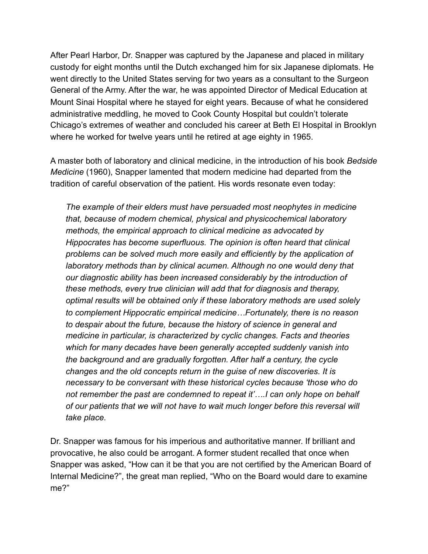After Pearl Harbor, Dr. Snapper was captured by the Japanese and placed in military custody for eight months until the Dutch exchanged him for six Japanese diplomats. He went directly to the United States serving for two years as a consultant to the Surgeon General of the Army. After the war, he was appointed Director of Medical Education at Mount Sinai Hospital where he stayed for eight years. Because of what he considered administrative meddling, he moved to Cook County Hospital but couldn't tolerate Chicago's extremes of weather and concluded his career at Beth El Hospital in Brooklyn where he worked for twelve years until he retired at age eighty in 1965.

A master both of laboratory and clinical medicine, in the introduction of his book *Bedside Medicine* (1960), Snapper lamented that modern medicine had departed from the tradition of careful observation of the patient. His words resonate even today:

*The example of their elders must have persuaded most neophytes in medicine that, because of modern chemical, physical and physicochemical laboratory methods, the empirical approach to clinical medicine as advocated by Hippocrates has become superfluous. The opinion is often heard that clinical problems can be solved much more easily and efficiently by the application of laboratory methods than by clinical acumen. Although no one would deny that our diagnostic ability has been increased considerably by the introduction of these methods, every true clinician will add that for diagnosis and therapy, optimal results will be obtained only if these laboratory methods are used solely to complement Hippocratic empirical medicine…Fortunately, there is no reason to despair about the future, because the history of science in general and medicine in particular, is characterized by cyclic changes. Facts and theories which for many decades have been generally accepted suddenly vanish into the background and are gradually forgotten. After half a century, the cycle changes and the old concepts return in the guise of new discoveries. It is necessary to be conversant with these historical cycles because 'those who do not remember the past are condemned to repeat it'….I can only hope on behalf of our patients that we will not have to wait much longer before this reversal will take place.* 

Dr. Snapper was famous for his imperious and authoritative manner. If brilliant and provocative, he also could be arrogant. A former student recalled that once when Snapper was asked, "How can it be that you are not certified by the American Board of Internal Medicine?", the great man replied, "Who on the Board would dare to examine me?"